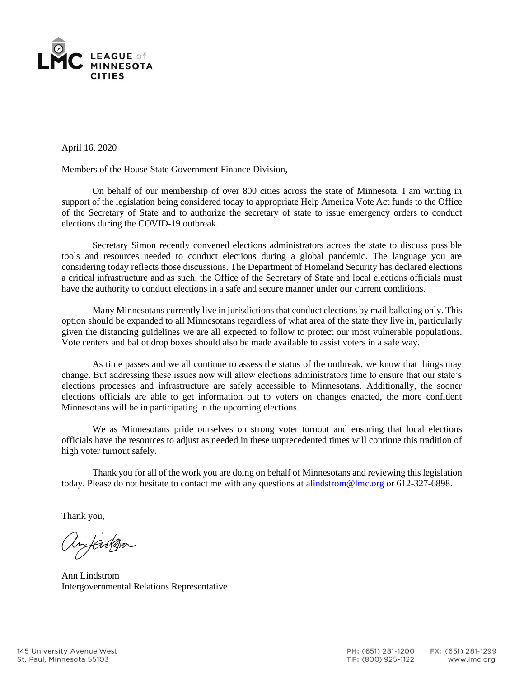

April 16, 2020

Members of the House State Government Finance Division,

On behalf of our membership of over 800 cities across the state of Minnesota, I am writing in support of the legislation being considered today to appropriate Help America Vote Act funds to the Office of the Secretary of State and to authorize the secretary of state to issue emergency orders to conduct elections during the COVID-19 outbreak.

Secretary Simon recently convened elections administrators across the state to discuss possible tools and resources needed to conduct elections during a global pandemic. The language you are considering today reflects those discussions. The Department of Homeland Security has declared elections a critical infrastructure and as such, the Office of the Secretary of State and local elections officials must have the authority to conduct elections in a safe and secure manner under our current conditions.

Many Minnesotans currently live in jurisdictions that conduct elections by mail balloting only. This option should be expanded to all Minnesotans regardless of what area of the state they live in, particularly given the distancing guidelines we are all expected to follow to protect our most vulnerable populations. Vote centers and ballot drop boxes should also be made available to assist voters in a safe way.

As time passes and we all continue to assess the status of the outbreak, we know that things may change. But addressing these issues now will allow elections administrators time to ensure that our state's elections processes and infrastructure are safely accessible to Minnesotans. Additionally, the sooner elections officials are able to get information out to voters on changes enacted, the more confident Minnesotans will be in participating in the upcoming elections.

We as Minnesotans pride ourselves on strong voter turnout and ensuring that local elections officials have the resources to adjust as needed in these unprecedented times will continue this tradition of high voter turnout safely.

Thank you for all of the work you are doing on behalf of Minnesotans and reviewing this legislation today. Please do not hesitate to contact me with any questions at [alindstrom@lmc.org](mailto:alindstrom@lmc.org) or 612-327-6898.

Thank you,

Anfarga

Ann Lindstrom Intergovernmental Relations Representative